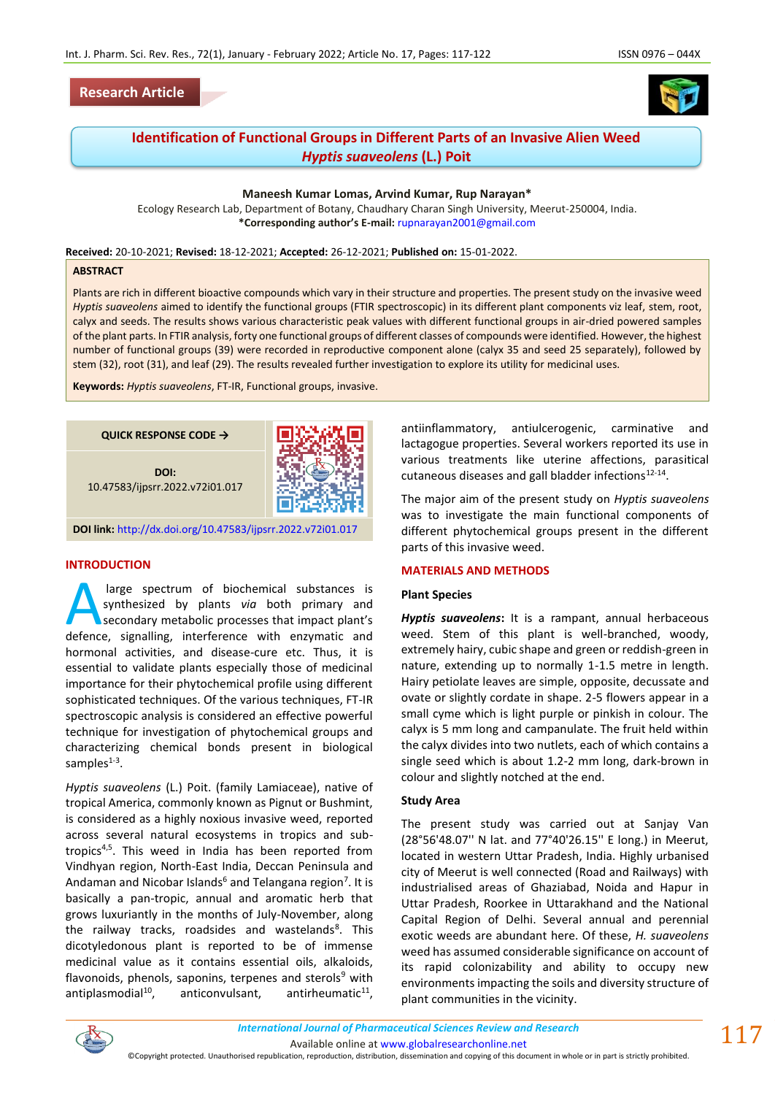## **Research Article**





# **Identification of Functional Groups in Different Parts of an Invasive Alien Weed**  *Hyptis suaveolens* **(L.) Poit**

#### **Maneesh Kumar Lomas, Arvind Kumar, Rup Narayan\***

Ecology Research Lab, Department of Botany, Chaudhary Charan Singh University, Meerut-250004, India. **\*Corresponding author's E-mail:** [rupnarayan2001@gmail.com](mailto:rupnarayan2001@gmail.com)

**Received:** 20-10-2021; **Revised:** 18-12-2021; **Accepted:** 26-12-2021; **Published on:** 15-01-2022.

#### **ABSTRACT**

Plants are rich in different bioactive compounds which vary in their structure and properties. The present study on the invasive weed *Hyptis suaveolens* aimed to identify the functional groups (FTIR spectroscopic) in its different plant components viz leaf, stem, root, calyx and seeds. The results shows various characteristic peak values with different functional groups in air-dried powered samples of the plant parts. In FTIR analysis, forty one functional groups of different classes of compounds were identified. However, the highest number of functional groups (39) were recorded in reproductive component alone (calyx 35 and seed 25 separately), followed by stem (32), root (31), and leaf (29). The results revealed further investigation to explore its utility for medicinal uses.

**Keywords:** *Hyptis suaveolens*, FT-IR, Functional groups, invasive.



#### **INTRODUCTION**

large spectrum of biochemical substances is synthesized by plants *via* both primary and secondary metabolic processes that impact plant's large spectrum of biochemical substances is<br>synthesized by plants *via* both primary and<br>secondary metabolic processes that impact plant's<br>defence, signalling, interference with enzymatic and hormonal activities, and disease-cure etc. Thus, it is essential to validate plants especially those of medicinal importance for their phytochemical profile using different sophisticated techniques. Of the various techniques, FT-IR spectroscopic analysis is considered an effective powerful technique for investigation of phytochemical groups and characterizing chemical bonds present in biological samples<sup>1-3</sup>.

*Hyptis suaveolens* (L.) Poit. (family Lamiaceae), native of tropical America, commonly known as Pignut or Bushmint, is considered as a highly noxious invasive weed, reported across several natural ecosystems in tropics and subtropics4,5. This weed in India has been reported from Vindhyan region, North-East India, Deccan Peninsula and Andaman and Nicobar Islands<sup>6</sup> and Telangana region<sup>7</sup>. It is basically a pan-tropic, annual and aromatic herb that grows luxuriantly in the months of July-November, along the railway tracks, roadsides and wastelands<sup>8</sup>. This dicotyledonous plant is reported to be of immense medicinal value as it contains essential oils, alkaloids, flavonoids, phenols, saponins, terpenes and sterols $9$  with antiplasmodial $10$ , anticonvulsant, antirheumatic<sup>11</sup>.

antiinflammatory, antiulcerogenic, carminative and lactagogue properties. Several workers reported its use in various treatments like uterine affections, parasitical cutaneous diseases and gall bladder infections $^{12-14}$ .

The major aim of the present study on *Hyptis suaveolens* was to investigate the main functional components of different phytochemical groups present in the different parts of this invasive weed.

#### **MATERIALS AND METHODS**

#### **Plant Species**

*Hyptis suaveolens***:** It is a rampant, annual herbaceous weed. Stem of this plant is well-branched, woody, extremely hairy, cubic shape and green or reddish-green in nature, extending up to normally 1-1.5 metre in length. Hairy petiolate leaves are simple, opposite, decussate and ovate or slightly cordate in shape. 2-5 flowers appear in a small cyme which is light purple or pinkish in colour. The calyx is 5 mm long and campanulate. The fruit held within the calyx divides into two nutlets, each of which contains a single seed which is about 1.2-2 mm long, dark-brown in colour and slightly notched at the end.

#### **Study Area**

The present study was carried out at Sanjay Van (28°56'48.07'' N lat. and 77°40'26.15'' E long.) in Meerut, located in western Uttar Pradesh, India. Highly urbanised city of Meerut is well connected (Road and Railways) with industrialised areas of Ghaziabad, Noida and Hapur in Uttar Pradesh, Roorkee in Uttarakhand and the National Capital Region of Delhi. Several annual and perennial exotic weeds are abundant here. Of these, *H. suaveolens*  weed has assumed considerable significance on account of its rapid colonizability and ability to occupy new environments impacting the soils and diversity structure of plant communities in the vicinity.



Available online a[t www.globalresearchonline.net](http://www.globalresearchonline.net/)

©Copyright protected. Unauthorised republication, reproduction, distribution, dissemination and copying of this document in whole or in part is strictly prohibited.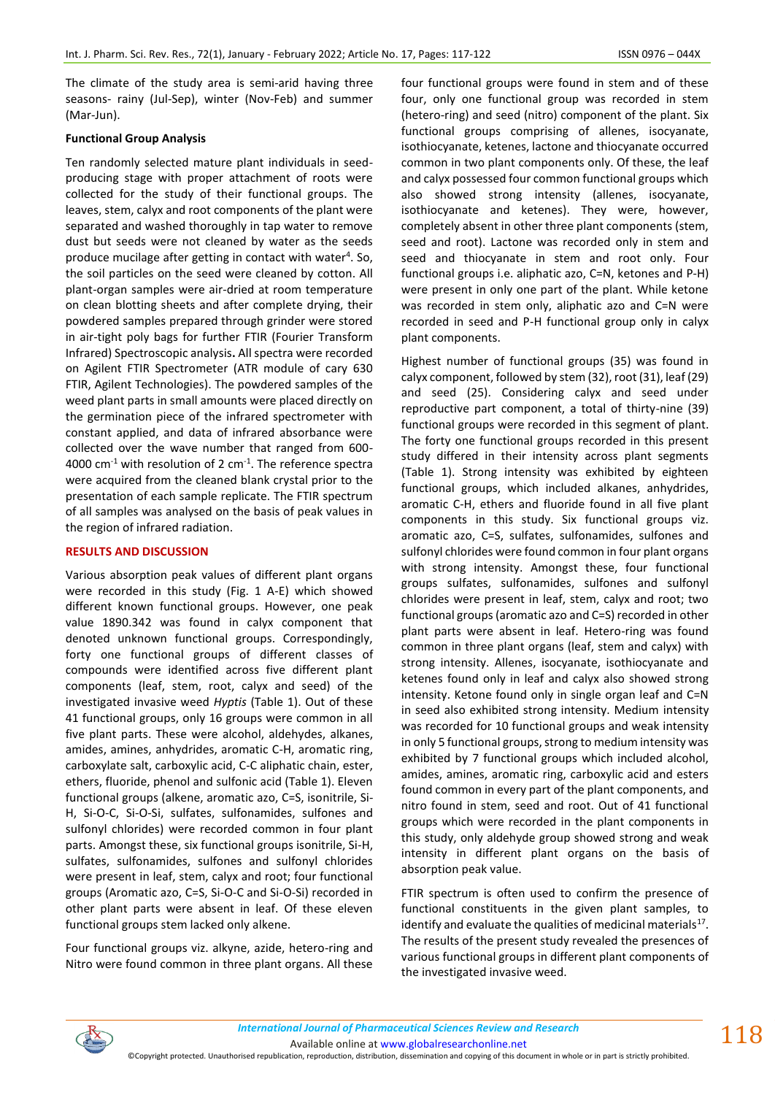The climate of the study area is semi-arid having three seasons- rainy (Jul-Sep), winter (Nov-Feb) and summer (Mar-Jun).

## **Functional Group Analysis**

Ten randomly selected mature plant individuals in seedproducing stage with proper attachment of roots were collected for the study of their functional groups. The leaves, stem, calyx and root components of the plant were separated and washed thoroughly in tap water to remove dust but seeds were not cleaned by water as the seeds produce mucilage after getting in contact with water<sup>4</sup>. So, the soil particles on the seed were cleaned by cotton. All plant-organ samples were air-dried at room temperature on clean blotting sheets and after complete drying, their powdered samples prepared through grinder were stored in air-tight poly bags for further FTIR (Fourier Transform Infrared) Spectroscopic analysis**.** All spectra were recorded on Agilent FTIR Spectrometer (ATR module of cary 630 FTIR, Agilent Technologies). The powdered samples of the weed plant parts in small amounts were placed directly on the germination piece of the infrared spectrometer with constant applied, and data of infrared absorbance were collected over the wave number that ranged from 600- 4000  $\text{cm}$ <sup>-1</sup> with resolution of 2  $\text{cm}$ <sup>-1</sup>. The reference spectra were acquired from the cleaned blank crystal prior to the presentation of each sample replicate. The FTIR spectrum of all samples was analysed on the basis of peak values in the region of infrared radiation.

## **RESULTS AND DISCUSSION**

Various absorption peak values of different plant organs were recorded in this study (Fig. 1 A-E) which showed different known functional groups. However, one peak value 1890.342 was found in calyx component that denoted unknown functional groups. Correspondingly, forty one functional groups of different classes of compounds were identified across five different plant components (leaf, stem, root, calyx and seed) of the investigated invasive weed *Hyptis* (Table 1). Out of these 41 functional groups, only 16 groups were common in all five plant parts. These were alcohol, aldehydes, alkanes, amides, amines, anhydrides, aromatic C-H, aromatic ring, carboxylate salt, carboxylic acid, C-C aliphatic chain, ester, ethers, fluoride, phenol and sulfonic acid (Table 1). Eleven functional groups (alkene, aromatic azo, C=S, isonitrile, Si-H, Si-O-C, Si-O-Si, sulfates, sulfonamides, sulfones and sulfonyl chlorides) were recorded common in four plant parts. Amongst these, six functional groups isonitrile, Si-H, sulfates, sulfonamides, sulfones and sulfonyl chlorides were present in leaf, stem, calyx and root; four functional groups (Aromatic azo, C=S, Si-O-C and Si-O-Si) recorded in other plant parts were absent in leaf. Of these eleven functional groups stem lacked only alkene.

Four functional groups viz. alkyne, azide, hetero-ring and Nitro were found common in three plant organs. All these four functional groups were found in stem and of these four, only one functional group was recorded in stem (hetero-ring) and seed (nitro) component of the plant. Six functional groups comprising of allenes, isocyanate, isothiocyanate, ketenes, lactone and thiocyanate occurred common in two plant components only. Of these, the leaf and calyx possessed four common functional groups which also showed strong intensity (allenes, isocyanate, isothiocyanate and ketenes). They were, however, completely absent in other three plant components (stem, seed and root). Lactone was recorded only in stem and seed and thiocyanate in stem and root only. Four functional groups i.e. aliphatic azo, C=N, ketones and P-H) were present in only one part of the plant. While ketone was recorded in stem only, aliphatic azo and C=N were recorded in seed and P-H functional group only in calyx plant components.

Highest number of functional groups (35) was found in calyx component, followed by stem (32), root (31), leaf (29) and seed (25). Considering calyx and seed under reproductive part component, a total of thirty-nine (39) functional groups were recorded in this segment of plant. The forty one functional groups recorded in this present study differed in their intensity across plant segments (Table 1). Strong intensity was exhibited by eighteen functional groups, which included alkanes, anhydrides, aromatic C-H, ethers and fluoride found in all five plant components in this study. Six functional groups viz. aromatic azo, C=S, sulfates, sulfonamides, sulfones and sulfonyl chlorides were found common in four plant organs with strong intensity. Amongst these, four functional groups sulfates, sulfonamides, sulfones and sulfonyl chlorides were present in leaf, stem, calyx and root; two functional groups (aromatic azo and C=S) recorded in other plant parts were absent in leaf. Hetero-ring was found common in three plant organs (leaf, stem and calyx) with strong intensity. Allenes, isocyanate, isothiocyanate and ketenes found only in leaf and calyx also showed strong intensity. Ketone found only in single organ leaf and C=N in seed also exhibited strong intensity. Medium intensity was recorded for 10 functional groups and weak intensity in only 5 functional groups, strong to medium intensity was exhibited by 7 functional groups which included alcohol, amides, amines, aromatic ring, carboxylic acid and esters found common in every part of the plant components, and nitro found in stem, seed and root. Out of 41 functional groups which were recorded in the plant components in this study, only aldehyde group showed strong and weak intensity in different plant organs on the basis of absorption peak value.

FTIR spectrum is often used to confirm the presence of functional constituents in the given plant samples, to identify and evaluate the qualities of medicinal materials $^{17}$ . The results of the present study revealed the presences of various functional groups in different plant components of the investigated invasive weed.



Available online a[t www.globalresearchonline.net](http://www.globalresearchonline.net/)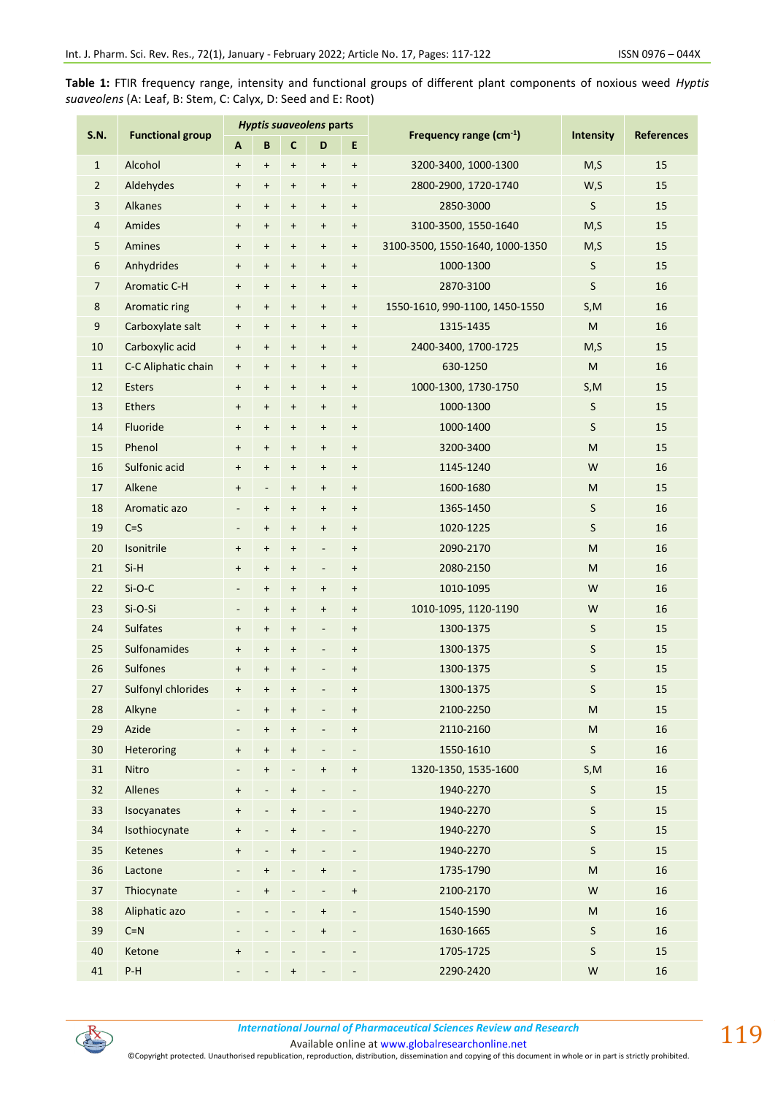**Table 1:** FTIR frequency range, intensity and functional groups of different plant components of noxious weed *Hyptis suaveolens* (A: Leaf, B: Stem, C: Calyx, D: Seed and E: Root)

| <b>S.N.</b>    | <b>Functional group</b> | Hyptis suaveolens parts          |                                  |                                  |                                  |                                  |                                 |                  |                   |
|----------------|-------------------------|----------------------------------|----------------------------------|----------------------------------|----------------------------------|----------------------------------|---------------------------------|------------------|-------------------|
|                |                         | A                                | B                                | $\mathbf{C}$                     | D                                | E                                | Frequency range (cm-1)          | <b>Intensity</b> | <b>References</b> |
| $\mathbf{1}$   | Alcohol                 | $\begin{array}{c} + \end{array}$ | $\ddot{}$                        | $\ddot{}$                        | $\begin{array}{c} + \end{array}$ | $\ddot{}$                        | 3200-3400, 1000-1300            | M, S             | 15                |
| $\overline{2}$ | Aldehydes               | $\boldsymbol{+}$                 | $\ddot{}$                        | $\begin{array}{c} + \end{array}$ | $\ddot{}$                        | $\ddot{}$                        | 2800-2900, 1720-1740            | W,S              | 15                |
| 3              | <b>Alkanes</b>          | $\, +$                           | $\ddot{}$                        | $\pmb{+}$                        | $\ddot{}$                        | $\ddot{}$                        | 2850-3000                       | S                | 15                |
| 4              | Amides                  | $\boldsymbol{+}$                 | $\ddot{}$                        | $\ddot{}$                        | $\begin{array}{c} + \end{array}$ | $\boldsymbol{+}$                 | 3100-3500, 1550-1640            | M, S             | 15                |
| 5              | Amines                  | $\begin{array}{c} + \end{array}$ | $\ddot{}$                        | $\begin{array}{c} + \end{array}$ | $\begin{array}{c} + \end{array}$ | $\ddot{}$                        | 3100-3500, 1550-1640, 1000-1350 | M, S             | 15                |
| 6              | Anhydrides              | $\begin{array}{c} + \end{array}$ | $\ddot{}$                        | $\begin{array}{c} + \end{array}$ | $\begin{array}{c} + \end{array}$ | $\ddot{}$                        | 1000-1300                       | S                | 15                |
| $\overline{7}$ | <b>Aromatic C-H</b>     | $\begin{array}{c} + \end{array}$ | $\ddot{}$                        | $\pmb{+}$                        | $\ddot{}$                        | $\pmb{+}$                        | 2870-3100                       | S                | 16                |
| 8              | Aromatic ring           | $\begin{array}{c} + \end{array}$ | $\ddot{}$                        | $\begin{array}{c} + \end{array}$ | $\begin{array}{c} + \end{array}$ | $\begin{array}{c} + \end{array}$ | 1550-1610, 990-1100, 1450-1550  | S, M             | 16                |
| 9              | Carboxylate salt        | $\begin{array}{c} + \end{array}$ | $\ddot{}$                        | $\ddot{}$                        | $\begin{array}{c} + \end{array}$ | $\ddot{}$                        | 1315-1435                       | M                | 16                |
| 10             | Carboxylic acid         | $\, +$                           | $\pmb{+}$                        | $\ddot{}$                        | $\begin{array}{c} + \end{array}$ | $\ddot{}$                        | 2400-3400, 1700-1725            | M, S             | 15                |
| 11             | C-C Aliphatic chain     | $\begin{array}{c} + \end{array}$ | $\begin{array}{c} + \end{array}$ | $\begin{array}{c} + \end{array}$ | $\begin{array}{c} + \end{array}$ | $\boldsymbol{+}$                 | 630-1250                        | M                | 16                |
| 12             | <b>Esters</b>           | $\boldsymbol{+}$                 | $\ddot{}$                        | $\begin{array}{c} + \end{array}$ | $\begin{array}{c} + \end{array}$ | $\ddot{}$                        | 1000-1300, 1730-1750            | S, M             | 15                |
| 13             | <b>Ethers</b>           | $\boldsymbol{+}$                 | $\ddot{}$                        | $\ddot{}$                        | $\begin{array}{c} + \end{array}$ | $\pmb{+}$                        | 1000-1300                       | S                | 15                |
| 14             | Fluoride                | $\boldsymbol{+}$                 | $\ddot{}$                        | $\begin{array}{c} + \end{array}$ | $\begin{array}{c} + \end{array}$ | $\ddot{}$                        | 1000-1400                       | S                | 15                |
| 15             | Phenol                  | $\begin{array}{c} + \end{array}$ | $\ddot{}$                        | $\ddot{}$                        | $\begin{array}{c} + \end{array}$ | $\begin{array}{c} + \end{array}$ | 3200-3400                       | M                | 15                |
| 16             | Sulfonic acid           | $\boldsymbol{+}$                 | $\ddot{}$                        | $\begin{array}{c} + \end{array}$ | $\ddot{}$                        | $\ddot{}$                        | 1145-1240                       | W                | 16                |
| 17             | Alkene                  | $\, +$                           | $\qquad \qquad \blacksquare$     | $\ddot{}$                        | $\boldsymbol{+}$                 | $\ddot{}$                        | 1600-1680                       | M                | 15                |
| 18             | Aromatic azo            | $\overline{\phantom{a}}$         | $\ddot{}$                        | $\begin{array}{c} + \end{array}$ | $\begin{array}{c} + \end{array}$ | $\ddot{}$                        | 1365-1450                       | S                | 16                |
| 19             | $C = S$                 | $\overline{a}$                   | $\ddot{}$                        | $\ddot{}$                        | $\boldsymbol{+}$                 | $\pmb{+}$                        | 1020-1225                       | S                | 16                |
| 20             | Isonitrile              | $\, +$                           | $\ddot{}$                        | $\ddot{}$                        | $\blacksquare$                   | $\begin{array}{c} + \end{array}$ | 2090-2170                       | M                | 16                |
| 21             | $Si-H$                  | $\boldsymbol{+}$                 | $\ddot{}$                        | $\ddot{}$                        | $\blacksquare$                   | $\boldsymbol{+}$                 | 2080-2150                       | M                | 16                |
| 22             | $Si-O-C$                | $\overline{\phantom{m}}$         | $\pmb{+}$                        | $\ddot{}$                        | $\begin{array}{c} + \end{array}$ | $\pmb{+}$                        | 1010-1095                       | W                | 16                |
| 23             | Si-O-Si                 | $\overline{\phantom{m}}$         | $\ddot{}$                        | $\begin{array}{c} + \end{array}$ | $\boldsymbol{+}$                 | $\boldsymbol{+}$                 | 1010-1095, 1120-1190            | W                | 16                |
| 24             | <b>Sulfates</b>         | $\ddot{}$                        | $\ddot{}$                        | $\begin{array}{c} + \end{array}$ | $\overline{\phantom{a}}$         | $\ddot{}$                        | 1300-1375                       | S                | 15                |
| 25             | Sulfonamides            | $\ddot{}$                        | $\ddot{}$                        | $\ddot{}$                        | $\overline{\phantom{a}}$         | $\pmb{+}$                        | 1300-1375                       | S                | 15                |
| 26             | Sulfones                | $\begin{array}{c} + \end{array}$ | $\ddot{}$                        | $\ddot{}$                        | $\overline{a}$                   | $\ddot{}$                        | 1300-1375                       | S                | 15                |
| 27             | Sulfonyl chlorides      | $\begin{array}{c} + \end{array}$ | $\ddot{}$                        | $\ddot{}$                        |                                  | $\ddot{}$                        | 1300-1375                       | S                | 15                |
| 28             | Alkyne                  |                                  | $\pmb{+}$                        | $\pmb{+}$                        |                                  | $\begin{array}{c} + \end{array}$ | 2100-2250                       | ${\sf M}$        | 15                |
| 29             | Azide                   |                                  | $\ddot{}$                        | $\ddot{}$                        |                                  | $\ddot{}$                        | 2110-2160                       | ${\sf M}$        | 16                |
| 30             | Heteroring              | $\boldsymbol{+}$                 | $\ddot{}$                        | $\ddot{}$                        | $\overline{\phantom{a}}$         | $\overline{\phantom{a}}$         | 1550-1610                       | S                | 16                |
| 31             | Nitro                   |                                  | $\ddot{}$                        | $\overline{\phantom{a}}$         | $\ddot{}$                        | $\ddot{}$                        | 1320-1350, 1535-1600            | S, M             | 16                |
| 32             | Allenes                 | $\, +$                           |                                  | $\ddot{}$                        |                                  | $\qquad \qquad \blacksquare$     | 1940-2270                       | S                | 15                |
| 33             | Isocyanates             | $\pmb{+}$                        | $\overline{a}$                   | $\ddot{}$                        |                                  | $\qquad \qquad \blacksquare$     | 1940-2270                       | S                | 15                |
| 34             | Isothiocynate           | $\begin{array}{c} + \end{array}$ |                                  | $\ddot{}$                        |                                  |                                  | 1940-2270                       | S                | 15                |
| 35             | Ketenes                 | $\begin{array}{c} + \end{array}$ |                                  | $\ddot{}$                        |                                  |                                  | 1940-2270                       | S                | 15                |
| 36             | Lactone                 |                                  | $\ddot{}$                        | $\overline{\phantom{a}}$         | $\ddot{}$                        | ٠                                | 1735-1790                       | M                | 16                |
| 37             | Thiocynate              |                                  | $\ddot{}$                        | $\overline{\phantom{a}}$         | $\qquad \qquad \blacksquare$     | $\ddot{}$                        | 2100-2170                       | W                | 16                |
| 38             | Aliphatic azo           |                                  |                                  | $\qquad \qquad -$                | $\begin{array}{c} + \end{array}$ | $\overline{\phantom{a}}$         | 1540-1590                       | M                | 16                |
| 39             | $C = N$                 |                                  |                                  | $\overline{\phantom{a}}$         | $\begin{array}{c} + \end{array}$ | $\qquad \qquad \blacksquare$     | 1630-1665                       | S                | 16                |
| 40             | Ketone                  | $\, +$                           |                                  | $\overline{\phantom{a}}$         | $\overline{\phantom{m}}$         | $\overline{\phantom{a}}$         | 1705-1725                       | S                | 15                |
| 41             | $P-H$                   |                                  |                                  | $\begin{array}{c} + \end{array}$ |                                  |                                  | 2290-2420                       | ${\sf W}$        | 16                |



*International Journal of Pharmaceutical Sciences Review and Research International Journal of Pharmaceutical Sciences Review and Research*

Available online a[t www.globalresearchonline.net](http://www.globalresearchonline.net/)

©Copyright protected. Unauthorised republication, reproduction, distribution, dissemination and copying of this document in whole or in part is strictly prohibited.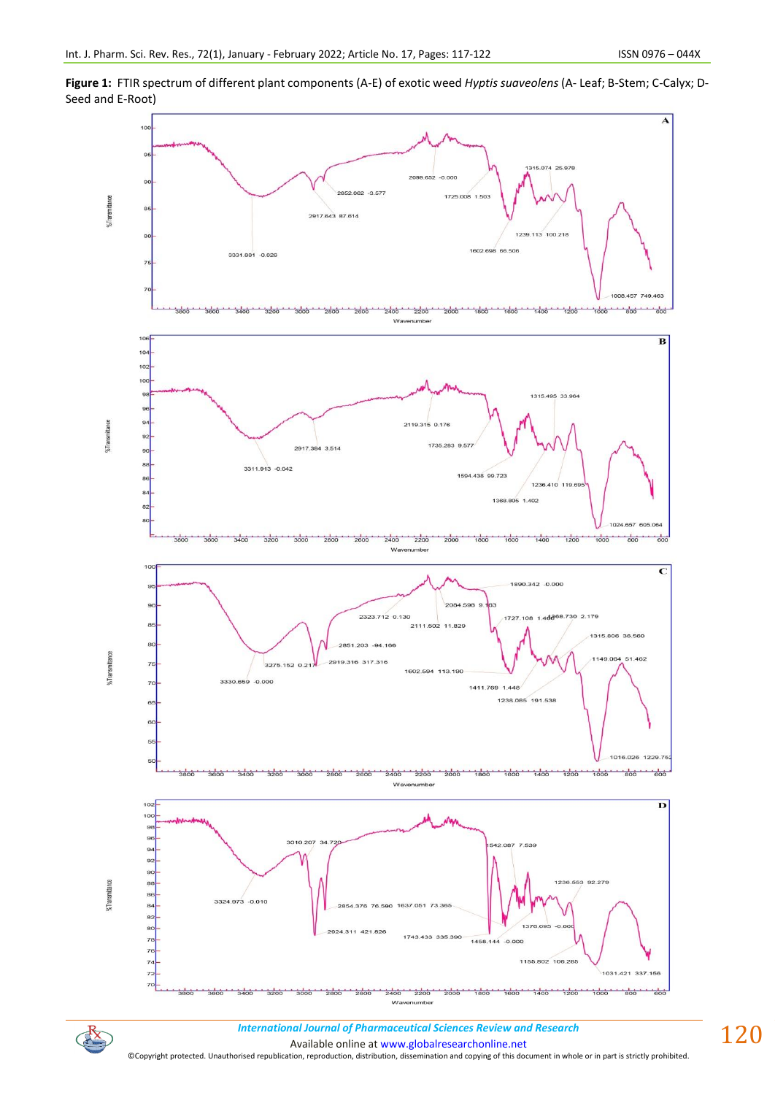



*International Journal of Pharmaceutical Sciences Review and Research International Journal of Pharmaceutical Sciences Review and Research*

Available online a[t www.globalresearchonline.net](http://www.globalresearchonline.net/)

 $\mathbb{R}$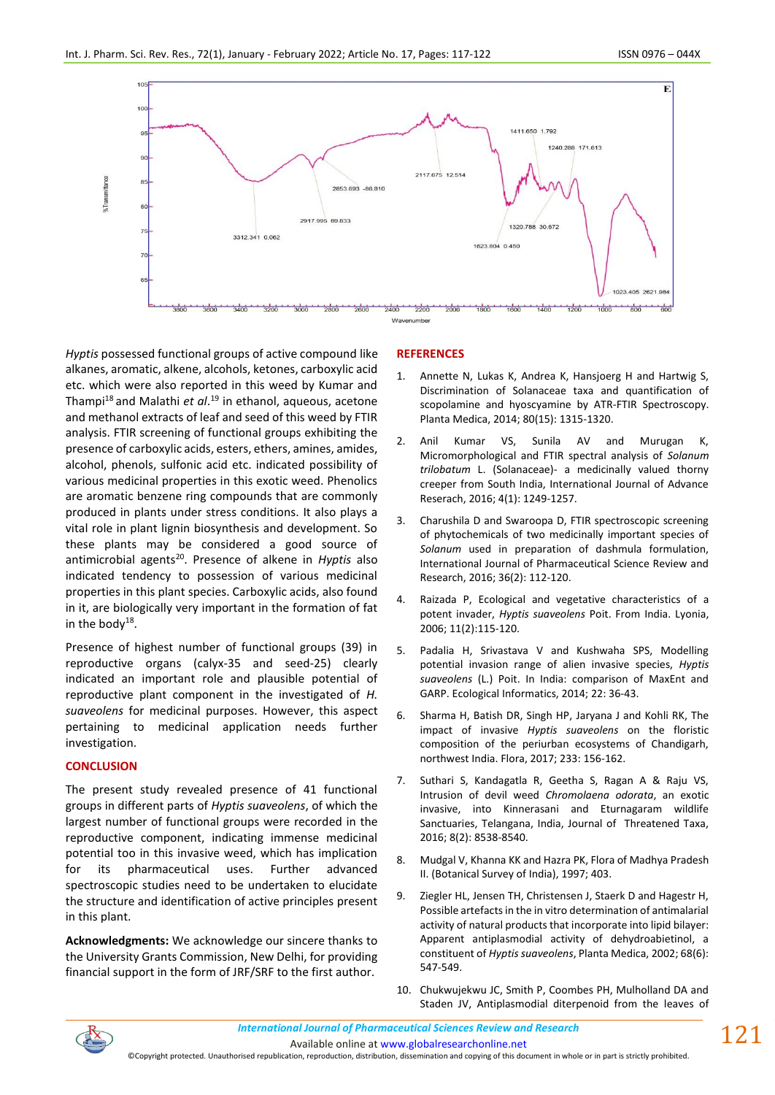

*Hyptis* possessed functional groups of active compound like alkanes, aromatic, alkene, alcohols, ketones, carboxylic acid etc. which were also reported in this weed by Kumar and Thampi<sup>18</sup> and Malathi *et al*. <sup>19</sup> in ethanol, aqueous, acetone and methanol extracts of leaf and seed of this weed by FTIR analysis. FTIR screening of functional groups exhibiting the presence of carboxylic acids, esters, ethers, amines, amides, alcohol, phenols, sulfonic acid etc. indicated possibility of various medicinal properties in this exotic weed. Phenolics are aromatic benzene ring compounds that are commonly produced in plants under stress conditions. It also plays a vital role in plant lignin biosynthesis and development. So these plants may be considered a good source of antimicrobial agents<sup>20</sup>. Presence of alkene in *Hyptis* also indicated tendency to possession of various medicinal properties in this plant species. Carboxylic acids, also found in it, are biologically very important in the formation of fat in the body<sup>18</sup>.

Presence of highest number of functional groups (39) in reproductive organs (calyx-35 and seed-25) clearly indicated an important role and plausible potential of reproductive plant component in the investigated of *H. suaveolens* for medicinal purposes. However, this aspect pertaining to medicinal application needs further investigation.

## **CONCLUSION**

The present study revealed presence of 41 functional groups in different parts of *Hyptis suaveolens*, of which the largest number of functional groups were recorded in the reproductive component, indicating immense medicinal potential too in this invasive weed, which has implication for its pharmaceutical uses. Further advanced spectroscopic studies need to be undertaken to elucidate the structure and identification of active principles present in this plant.

**Acknowledgments:** We acknowledge our sincere thanks to the University Grants Commission, New Delhi, for providing financial support in the form of JRF/SRF to the first author.

## **REFERENCES**

- 1. Annette N, Lukas K, Andrea K, Hansjoerg H and Hartwig S, Discrimination of Solanaceae taxa and quantification of scopolamine and hyoscyamine by ATR-FTIR Spectroscopy. Planta Medica, 2014; 80(15): 1315-1320.
- 2. Anil Kumar VS, Sunila AV and Murugan K, Micromorphological and FTIR spectral analysis of *Solanum trilobatum* L. (Solanaceae)- a medicinally valued thorny creeper from South India, International Journal of Advance Reserach, 2016; 4(1): 1249-1257.
- 3. Charushila D and Swaroopa D, FTIR spectroscopic screening of phytochemicals of two medicinally important species of *Solanum* used in preparation of dashmula formulation, International Journal of Pharmaceutical Science Review and Research, 2016; 36(2): 112-120.
- 4. Raizada P, Ecological and vegetative characteristics of a potent invader, *Hyptis suaveolens* Poit. From India. Lyonia, 2006; 11(2):115-120.
- 5. Padalia H, Srivastava V and Kushwaha SPS, Modelling potential invasion range of alien invasive species, *Hyptis suaveolens* (L.) Poit. In India: comparison of MaxEnt and GARP. Ecological Informatics, 2014; 22: 36-43.
- 6. Sharma H, Batish DR, Singh HP, Jaryana J and Kohli RK, The impact of invasive *Hyptis suaveolens* on the floristic composition of the periurban ecosystems of Chandigarh, northwest India. Flora, 2017; 233: 156-162.
- 7. Suthari S, Kandagatla R, Geetha S, Ragan A & Raju VS, Intrusion of devil weed *Chromolaena odorata*, an exotic invasive, into Kinnerasani and Eturnagaram wildlife Sanctuaries, Telangana, India, Journal of Threatened Taxa, 2016; 8(2): 8538-8540.
- 8. Mudgal V, Khanna KK and Hazra PK, Flora of Madhya Pradesh II. (Botanical Survey of India), 1997; 403.
- 9. Ziegler HL, Jensen TH, Christensen J, Staerk D and Hagestr H, Possible artefacts in the in vitro determination of antimalarial activity of natural products that incorporate into lipid bilayer: Apparent antiplasmodial activity of dehydroabietinol, a constituent of *Hyptis suaveolens*, Planta Medica, 2002; 68(6): 547-549.
- 10. Chukwujekwu JC, Smith P, Coombes PH, Mulholland DA and Staden JV, Antiplasmodial diterpenoid from the leaves of